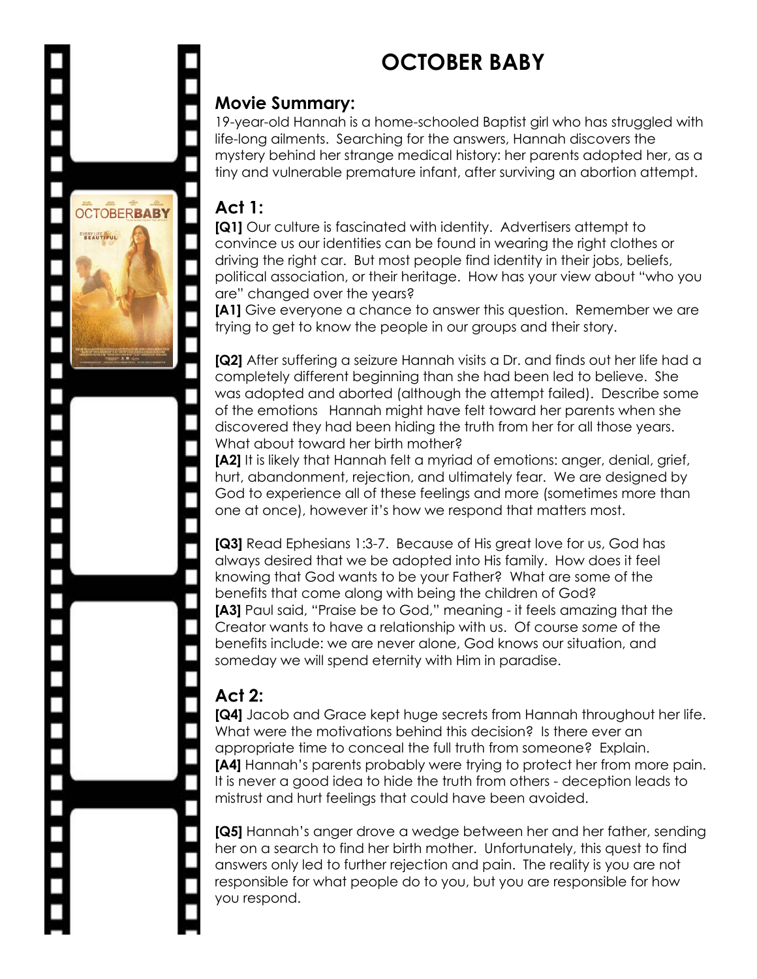# **OCTOBER BABY**

#### **Movie Summary:**

19-year-old Hannah is a home-schooled Baptist girl who has struggled with life-long ailments. Searching for the answers, Hannah discovers the mystery behind her strange medical history: her parents adopted her, as a tiny and vulnerable premature infant, after surviving an abortion attempt.

#### **Act 1:**

**OCTOBERBABY** 

**VERY LIFE IS UL.** 

**[Q1]** Our culture is fascinated with identity. Advertisers attempt to convince us our identities can be found in wearing the right clothes or driving the right car. But most people find identity in their jobs, beliefs, political association, or their heritage. How has your view about "who you are" changed over the years?

**[A1]** Give everyone a chance to answer this question. Remember we are trying to get to know the people in our groups and their story.

**[Q2]** After suffering a seizure Hannah visits a Dr. and finds out her life had a completely different beginning than she had been led to believe. She was adopted and aborted (although the attempt failed). Describe some of the emotions Hannah might have felt toward her parents when she discovered they had been hiding the truth from her for all those years. What about toward her birth mother?

**[A2]** It is likely that Hannah felt a myriad of emotions: anger, denial, grief, hurt, abandonment, rejection, and ultimately fear. We are designed by God to experience all of these feelings and more (sometimes more than one at once), however it's how we respond that matters most.

**[Q3]** Read Ephesians 1:3-7. Because of His great love for us, God has always desired that we be adopted into His family. How does it feel knowing that God wants to be your Father? What are some of the benefits that come along with being the children of God? **[A3]** Paul said, "Praise be to God," meaning - it feels amazing that the Creator wants to have a relationship with us. Of course *some* of the benefits include: we are never alone, God knows our situation, and someday we will spend eternity with Him in paradise.

## **Act 2:**

**[Q4]** Jacob and Grace kept huge secrets from Hannah throughout her life. What were the motivations behind this decision? Is there ever an appropriate time to conceal the full truth from someone? Explain. **[A4]** Hannah's parents probably were trying to protect her from more pain. It is never a good idea to hide the truth from others - deception leads to mistrust and hurt feelings that could have been avoided.

**[Q5]** Hannah's anger drove a wedge between her and her father, sending her on a search to find her birth mother. Unfortunately, this quest to find answers only led to further rejection and pain. The reality is you are not responsible for what people do to you, but you are responsible for how you respond.